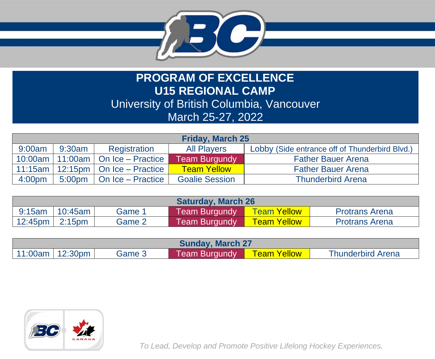

## **PROGRAM OF EXCELLENCE U15 REGIONAL CAMP** University of British Columbia, Vancouver March 25-27, 2022

| <b>Friday, March 25</b> |                    |                                   |                       |                                                |  |  |
|-------------------------|--------------------|-----------------------------------|-----------------------|------------------------------------------------|--|--|
| 9:00am                  | 9:30am             | Registration                      | <b>All Players</b>    | Lobby (Side entrance off of Thunderbird Blvd.) |  |  |
| $10:00$ am              |                    | 11:00am $\vert$ On Ice – Practice | <b>Team Burgundy</b>  | <b>Father Bauer Arena</b>                      |  |  |
| 11:15am                 |                    | 12:15pm   On Ice - Practice       | <b>Team Yellow</b>    | <b>Father Bauer Arena</b>                      |  |  |
| 4:00 <sub>pm</sub>      | 5:00 <sub>pm</sub> | On Ice - Practice                 | <b>Goalie Session</b> | <b>Thunderbird Arena</b>                       |  |  |

| <b>Saturday, March 26</b> |                     |        |                      |                    |                       |  |
|---------------------------|---------------------|--------|----------------------|--------------------|-----------------------|--|
|                           | $9:15$ am   10:45am | Game 1 | <b>Team Burgundy</b> | Team Yellow        | <b>Protrans Arena</b> |  |
| $12:45$ pm   2:15pm       |                     | Game 2 | <b>Team Burgundy</b> | <b>Team Yellow</b> | <b>Protrans Arena</b> |  |

| <b>Sunday, March 27</b> |  |        |                      |                     |                          |  |  |
|-------------------------|--|--------|----------------------|---------------------|--------------------------|--|--|
| $11:00$ am   12:30pm    |  | Game 3 | <b>Team Burgundy</b> | <u>Team Yellowi</u> | <b>Thunderbird Arena</b> |  |  |



*To Lead, Develop and Promote Positive Lifelong Hockey Experiences.*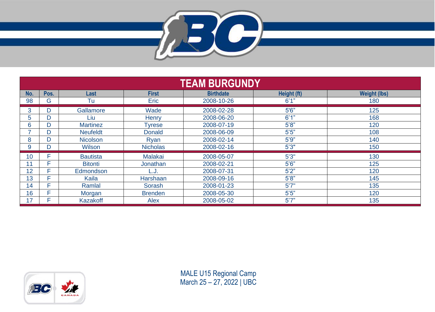

| <b>TEAM BURGUNDY</b> |      |                 |                 |                  |             |                     |
|----------------------|------|-----------------|-----------------|------------------|-------------|---------------------|
| No.                  | Pos. | Last            | <b>First</b>    | <b>Birthdate</b> | Height (ft) | <b>Weight (lbs)</b> |
| 98                   | G    | Tu              | Eric            | 2008-10-26       | 6'1"        | 180                 |
| 3                    | D    | Gallamore       | Wade            | 2008-02-28       | 5'6''       | 125                 |
| 5                    | D    | Liu             | Henry           | 2008-06-20       | 6'1''       | 168                 |
| 6.                   | D    | <b>Martinez</b> | Tyrese          | 2008-07-19       | 5'8''       | 120                 |
| ⇁                    | D    | <b>Neufeldt</b> | <b>Donald</b>   | 2008-06-09       | 5'5''       | 108                 |
| 8                    | D    | <b>Nicolson</b> | Ryan            | 2008-02-14       | 5'9''       | 140                 |
| 9                    | D    | Wilson          | <b>Nicholas</b> | 2008-02-16       | 5'3''       | 150                 |
| 10                   | Е    | <b>Bautista</b> | <b>Malakai</b>  | 2008-05-07       | 5'3''       | 130                 |
| 11                   | Е    | <b>Bitonti</b>  | Jonathan        | 2008-02-21       | 5'6''       | 125                 |
| 12                   | Е    | Edmondson       | L.J             | 2008-07-31       | 5'2"        | 120                 |
| 13                   | Е    | Kaila           | Harshaan        | 2008-09-16       | 5'8"        | 145                 |
| 14                   | Е    | Ramlal          | Sorash          | 2008-01-23       | 5'7''       | 135                 |
| 16                   | Е    | Morgan          | <b>Brenden</b>  | 2008-05-30       | 5'5''       | 120                 |
| 17                   |      | Kazakoff        | Alex            | 2008-05-02       | 5'7''       | 135                 |



MALE U15 Regional Camp March 25 – 27, 2022 | UBC